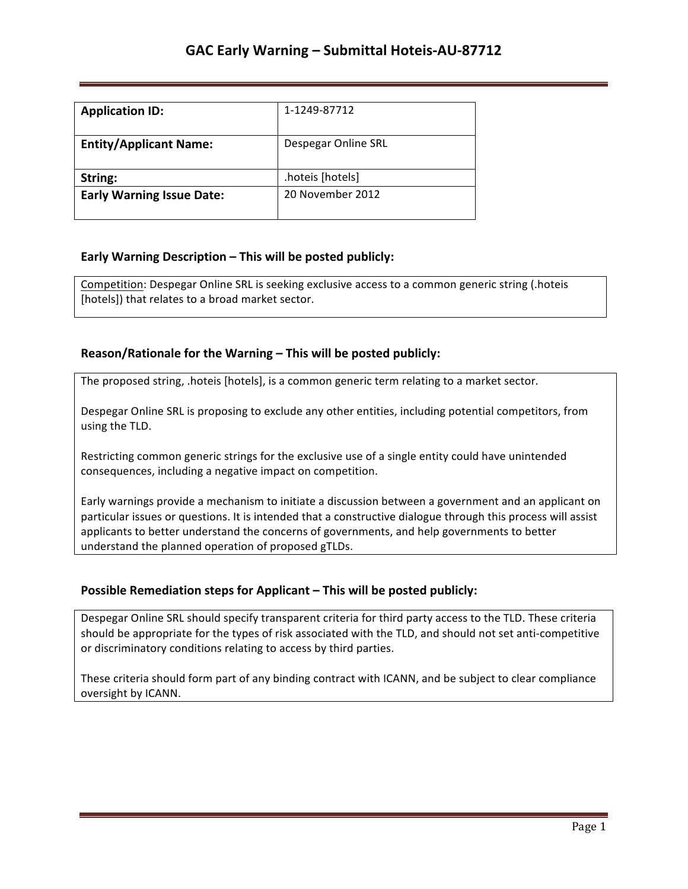| <b>Application ID:</b>           | 1-1249-87712        |
|----------------------------------|---------------------|
| <b>Entity/Applicant Name:</b>    | Despegar Online SRL |
| String:                          | hoteis [hotels]     |
| <b>Early Warning Issue Date:</b> | 20 November 2012    |

## **Early Warning Description – This will be posted publicly:**

Competition: Despegar Online SRL is seeking exclusive access to a common generic string (.hoteis [hotels]) that relates to a broad market sector.

#### **Reason/Rationale for the Warning – This will be posted publicly:**

The proposed string, .hoteis [hotels], is a common generic term relating to a market sector.

Despegar Online SRL is proposing to exclude any other entities, including potential competitors, from using the TLD.

Restricting common generic strings for the exclusive use of a single entity could have unintended consequences, including a negative impact on competition.

Early warnings provide a mechanism to initiate a discussion between a government and an applicant on particular issues or questions. It is intended that a constructive dialogue through this process will assist applicants to better understand the concerns of governments, and help governments to better understand the planned operation of proposed gTLDs.

## **Possible Remediation steps for Applicant - This will be posted publicly:**

Despegar Online SRL should specify transparent criteria for third party access to the TLD. These criteria should be appropriate for the types of risk associated with the TLD, and should not set anti-competitive or discriminatory conditions relating to access by third parties.

These criteria should form part of any binding contract with ICANN, and be subject to clear compliance oversight by ICANN.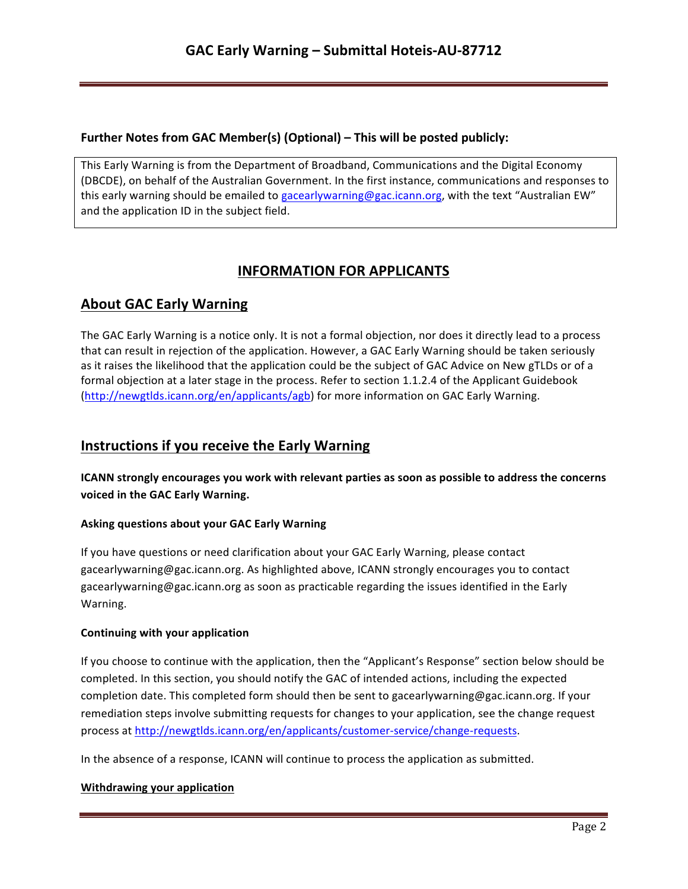## **Further Notes from GAC Member(s) (Optional) – This will be posted publicly:**

This Early Warning is from the Department of Broadband, Communications and the Digital Economy (DBCDE), on behalf of the Australian Government. In the first instance, communications and responses to this early warning should be emailed to gacearlywarning@gac.icann.org, with the text "Australian EW" and the application ID in the subject field.

# **INFORMATION FOR APPLICANTS**

# **About GAC Early Warning**

The GAC Early Warning is a notice only. It is not a formal objection, nor does it directly lead to a process that can result in rejection of the application. However, a GAC Early Warning should be taken seriously as it raises the likelihood that the application could be the subject of GAC Advice on New gTLDs or of a formal objection at a later stage in the process. Refer to section 1.1.2.4 of the Applicant Guidebook (http://newgtlds.icann.org/en/applicants/agb) for more information on GAC Early Warning.

## **Instructions if you receive the Early Warning**

**ICANN** strongly encourages you work with relevant parties as soon as possible to address the concerns voiced in the GAC Early Warning.

## **Asking questions about your GAC Early Warning**

If you have questions or need clarification about your GAC Early Warning, please contact gacearlywarning@gac.icann.org. As highlighted above, ICANN strongly encourages you to contact gacearlywarning@gac.icann.org as soon as practicable regarding the issues identified in the Early Warning. 

#### **Continuing with your application**

If you choose to continue with the application, then the "Applicant's Response" section below should be completed. In this section, you should notify the GAC of intended actions, including the expected completion date. This completed form should then be sent to gacearlywarning@gac.icann.org. If your remediation steps involve submitting requests for changes to your application, see the change request process at http://newgtlds.icann.org/en/applicants/customer-service/change-requests.

In the absence of a response, ICANN will continue to process the application as submitted.

#### **Withdrawing your application**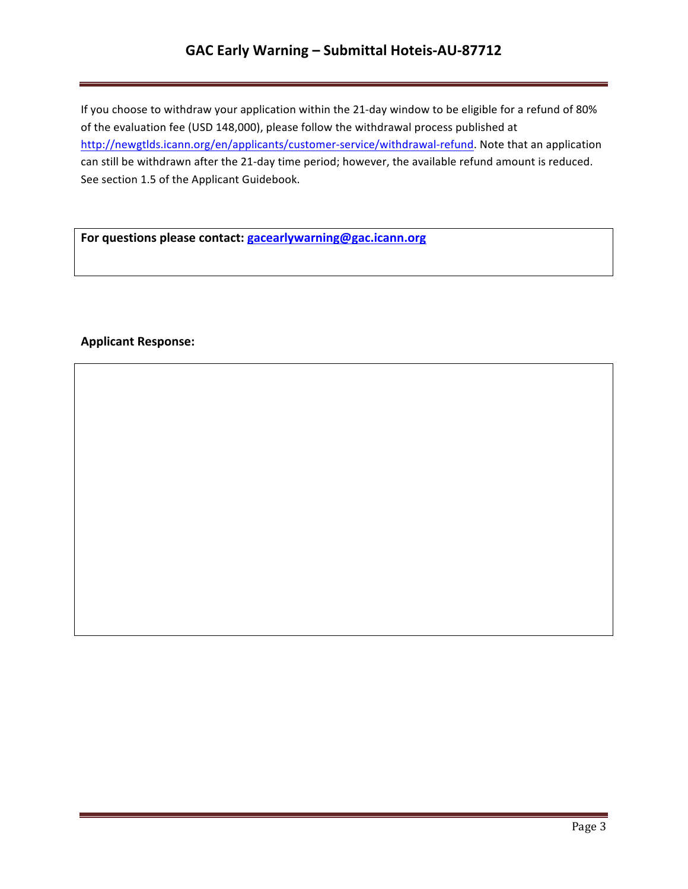## GAC Early Warning - Submittal Hoteis-AU-87712

If you choose to withdraw your application within the 21-day window to be eligible for a refund of 80% of the evaluation fee (USD 148,000), please follow the withdrawal process published at http://newgtlds.icann.org/en/applicants/customer-service/withdrawal-refund. Note that an application can still be withdrawn after the 21-day time period; however, the available refund amount is reduced. See section 1.5 of the Applicant Guidebook.

For questions please contact: **gacearlywarning@gac.icann.org** 

#### **Applicant Response:**